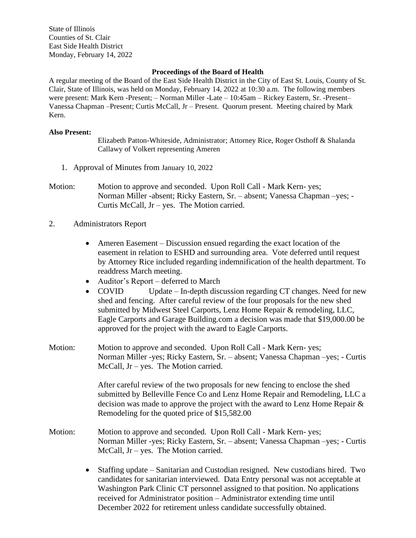State of Illinois Counties of St. Clair East Side Health District Monday, February 14, 2022

## **Proceedings of the Board of Health**

A regular meeting of the Board of the East Side Health District in the City of East St. Louis, County of St. Clair, State of Illinois, was held on Monday, February 14, 2022 at 10:30 a.m. The following members were present: Mark Kern -Present; – Norman Miller -Late – 10:45am – Rickey Eastern, Sr. -Present– Vanessa Chapman –Present; Curtis McCall, Jr – Present. Quorum present. Meeting chaired by Mark Kern.

## **Also Present:**

Elizabeth Patton-Whiteside, Administrator; Attorney Rice, Roger Osthoff & Shalanda Callawy of Volkert representing Ameren

- 1. Approval of Minutes from January 10, 2022
- Motion: Motion to approve and seconded. Upon Roll Call Mark Kern- yes; Norman Miller -absent; Ricky Eastern, Sr. – absent; Vanessa Chapman –yes; - Curtis McCall, Jr – yes. The Motion carried.
- 2. Administrators Report
	- Ameren Easement Discussion ensued regarding the exact location of the easement in relation to ESHD and surrounding area. Vote deferred until request by Attorney Rice included regarding indemnification of the health department. To readdress March meeting.
	- Auditor's Report deferred to March
	- COVID Update In-depth discussion regarding CT changes. Need for new shed and fencing. After careful review of the four proposals for the new shed submitted by Midwest Steel Carports, Lenz Home Repair & remodeling, LLC, Eagle Carports and Garage Building.com a decision was made that \$19,000.00 be approved for the project with the award to Eagle Carports.
- Motion: Motion to approve and seconded. Upon Roll Call Mark Kern- yes; Norman Miller -yes; Ricky Eastern, Sr. – absent; Vanessa Chapman –yes; - Curtis McCall, Jr – yes. The Motion carried.

After careful review of the two proposals for new fencing to enclose the shed submitted by Belleville Fence Co and Lenz Home Repair and Remodeling, LLC a decision was made to approve the project with the award to Lenz Home Repair & Remodeling for the quoted price of \$15,582.00

- Motion: Motion to approve and seconded. Upon Roll Call Mark Kern- yes; Norman Miller -yes; Ricky Eastern, Sr. – absent; Vanessa Chapman –yes; - Curtis McCall, Jr – yes. The Motion carried.
	- Staffing update Sanitarian and Custodian resigned. New custodians hired. Two candidates for sanitarian interviewed. Data Entry personal was not acceptable at Washington Park Clinic CT personnel assigned to that position. No applications received for Administrator position – Administrator extending time until December 2022 for retirement unless candidate successfully obtained.